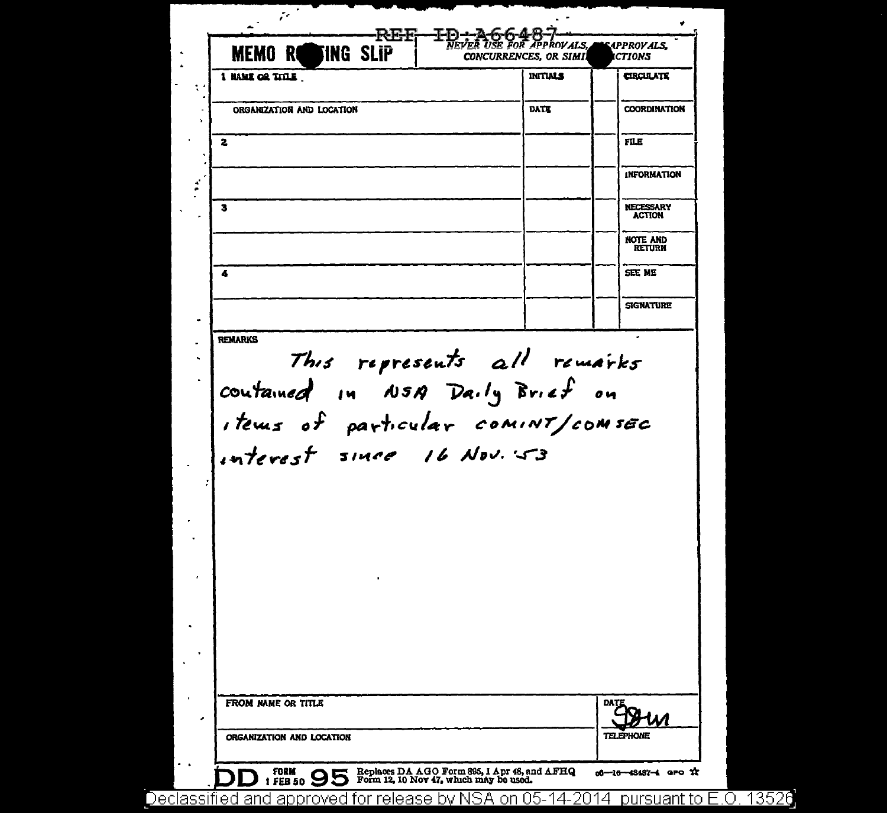| 1 NAME OR TITLE                                                                                                                                    | <b>INITIALS</b> | <b>CIRCULATE</b>                  |
|----------------------------------------------------------------------------------------------------------------------------------------------------|-----------------|-----------------------------------|
|                                                                                                                                                    |                 |                                   |
| ORGANIZATION AND LOCATION                                                                                                                          | DATE            | <b>COORDINATION</b>               |
| 2                                                                                                                                                  |                 | <b>FILE</b>                       |
|                                                                                                                                                    |                 | <b>INFORMATION</b>                |
|                                                                                                                                                    |                 |                                   |
| з                                                                                                                                                  |                 | <b>NECESSARY</b><br><b>ACTION</b> |
|                                                                                                                                                    |                 | <b>NOTE AND</b><br><b>RETURN</b>  |
| 4                                                                                                                                                  |                 | SEE ME                            |
|                                                                                                                                                    |                 | <b>SIGNATURE</b>                  |
|                                                                                                                                                    |                 |                                   |
| <b>REMARKS</b><br>This represents all remarks<br>contained in NSA Daily Brief on<br>items of particular comint/comsec<br>interest since 16 Nov. 53 |                 |                                   |
|                                                                                                                                                    |                 |                                   |
| FROM NAME OR TITLE                                                                                                                                 |                 | DATE                              |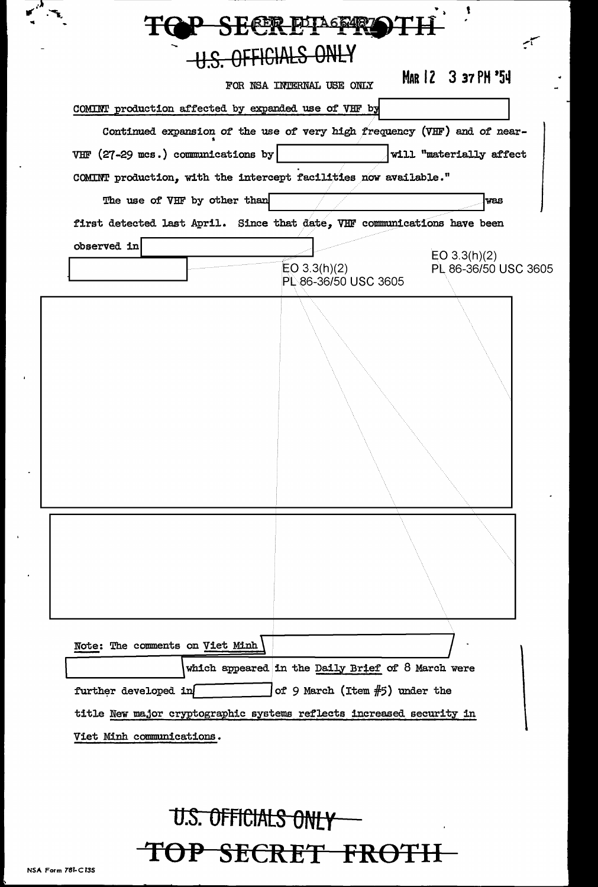|                                 |                                      | FOR NSA INTERNAL USE ONLY                                                | MAR 12 3 37 PH '54                   |
|---------------------------------|--------------------------------------|--------------------------------------------------------------------------|--------------------------------------|
|                                 |                                      | COMINT production affected by expanded use of VHF by                     |                                      |
|                                 |                                      | Continued expansion of the use of very high frequency (VHF) and of near- |                                      |
|                                 | VHF $(27-29$ mcs.) communications by |                                                                          | will "materially affect              |
|                                 |                                      | COMINT production, with the intercept facilities now available."         |                                      |
|                                 | The use of VHF by other than         |                                                                          | <b>VBS</b>                           |
|                                 |                                      | first detected last April. Since that date, VHF communications have been |                                      |
| observed in                     |                                      | EO $3.3(h)(2)$<br>PL 86-36/50 USC 3605                                   | EO 3.3(h)(2)<br>PL 86-36/50 USC 3605 |
|                                 |                                      |                                                                          |                                      |
|                                 |                                      |                                                                          |                                      |
| Note: The comments on Viet Minh |                                      |                                                                          |                                      |
|                                 |                                      | which appeared in the Daily Brief of 8 March were                        |                                      |

## **U.S. OFFICIALS ONLY T()P SECRET FROTII**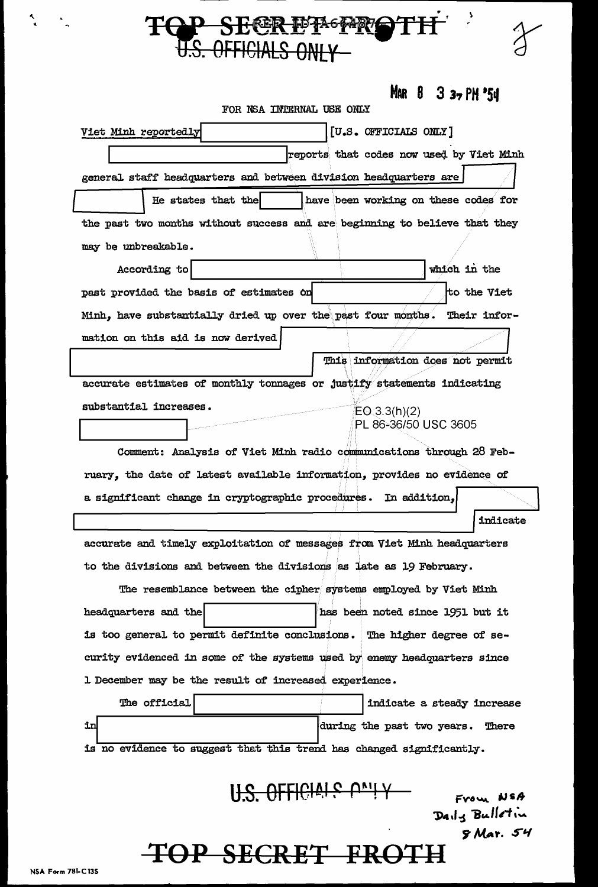|    | U.S. OFFICIALS ONLY                                                        |                                 |                                                |
|----|----------------------------------------------------------------------------|---------------------------------|------------------------------------------------|
|    |                                                                            | FOR NSA INTERNAL USE ONLY       | MAR $8$ 3 $3$ $\frac{1}{2}$ PH $\frac{1}{3}$ 4 |
|    | Viet Minh reportedly                                                       | [U.S. OFFICIALS ONLY]           |                                                |
|    |                                                                            |                                 | reports that codes now used by Viet Minh       |
|    | general staff headquarters and between division headquarters are           |                                 |                                                |
|    | He states that the                                                         |                                 | have been working on these codes for           |
|    | the past two months without success and are beginning to believe that they |                                 |                                                |
|    | may be unbreakable.                                                        |                                 |                                                |
|    | According to                                                               |                                 | which in the                                   |
|    | past provided the basis of estimates on                                    |                                 | to the Viet                                    |
|    | Minh, have substantially dried up over the past four months. Their infor-  |                                 |                                                |
|    | mation on this aid is now derived                                          |                                 |                                                |
|    |                                                                            |                                 | This information does not permit               |
|    | accurate estimates of monthly tonnages or justify statements indicating    |                                 |                                                |
|    | substantial increases.                                                     | EQ(3.3(h)(2))                   |                                                |
|    |                                                                            |                                 | PL 86-36/50 USC 3605                           |
|    | Comment: Analysis of Viet Minh radio communications through 28 Feb-        |                                 |                                                |
|    | ruary, the date of latest available information, provides no evidence of   |                                 |                                                |
|    | a significant change in cryptographic procedures. In addition,             |                                 |                                                |
|    |                                                                            |                                 | indicate                                       |
|    | accurate and timely exploitation of messages from Viet Minh headquarters   |                                 |                                                |
|    | to the divisions and between the divisions as late as 19 February.         |                                 |                                                |
|    | The resemblance between the cipher systems employed by Viet Minh           |                                 |                                                |
|    | headquarters and the                                                       |                                 | has been noted since 1951 but it               |
|    | is too general to permit definite conclusions. The higher degree of se-    |                                 |                                                |
|    | curity evidenced in some of the systems used by enemy headquarters since   |                                 |                                                |
|    | 1 December may be the result of increased experience.                      |                                 |                                                |
|    | The official                                                               |                                 | indicate a steady increase                     |
| in |                                                                            |                                 | during the past two years. There               |
|    | is no evidence to suggest that this trend has changed significantly.       |                                 |                                                |
|    |                                                                            | I <del>IS OFFICIAIS ONI Y</del> | From NSA<br>Daily Bulletin<br>5 Mar. 54        |
|    |                                                                            |                                 |                                                |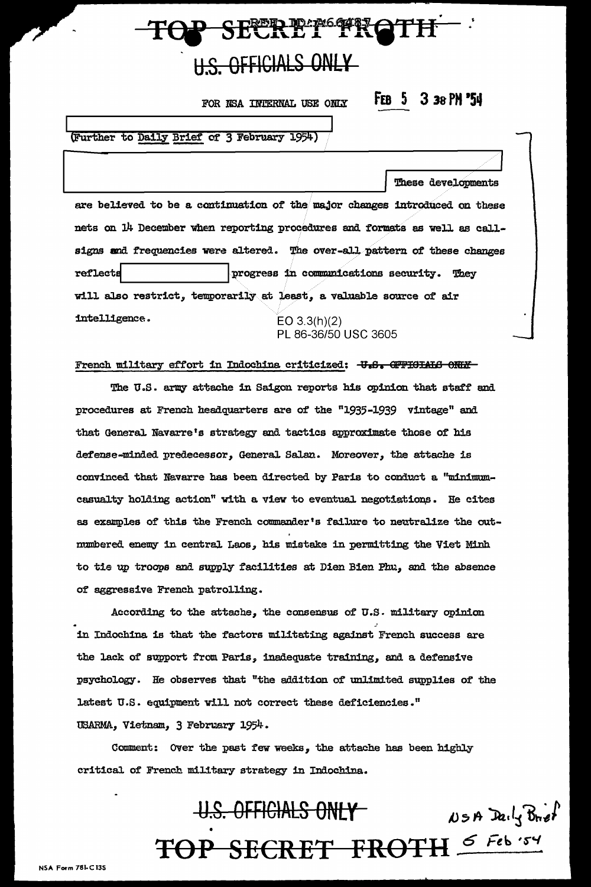## OP SECRET FROTH **H.S. OFFICIALS ONLY**

FOR NSA INTERNAL USE ONLY

FEB 5 3 38 PM '54

These developments

(Further to Daily Brief of 3 February 1954)

are believed to be a continuation of the major changes introduced on these nets on 14 December when reporting procedures and formats as well as callsigns and frequencies were altered. The over-all pattern of these changes reflects progress in communications security. They will also restrict, temporarily at least, a valuable source of air intelligence.  $EO 3.3(h)(2)$ PL 86-36/50 USC 3605

French military effort in Indochina criticized: U.S. OFFICIALG ONLY-

The U.S. army attache in Saigon reports his opinion that staff and procedures at French headquarters are of the "1935-1939 vintage" and that General Navarre's strategy and tactics approximate those of his defense-minded predecessor, General Salan. Moreover, the attache is convinced that Navarre has been directed by Paris to conduct a "minimumcasualty holding action" with a view to eventual negotiations. He cites as examples of this the French commander's failure to neutralize the outmumbered enemy in central Laos, his mistake in permitting the Viet Minh to tie up troops and supply facilities at Dien Bien Phu, and the absence of aggressive French patrolling.

According to the attache, the consensus of U.S. military opinion in Indochina is that the factors militating against French success are the lack of support from Paris, inadequate training, and a defensive psychology. He observes that "the addition of unlimited supplies of the latest U.S. equipment will not correct these deficiencies." USARMA, Vietnam, 3 February 1954.

Comment: Over the past few weeks, the attache has been highly critical of French military strategy in Indochina.

#### U.S. OFFICIALS ONLY  $\n *W*$   $\n *B*$   $\n *P*$   $\n *P*$ TOP SECRET FROTH 5 Feb '54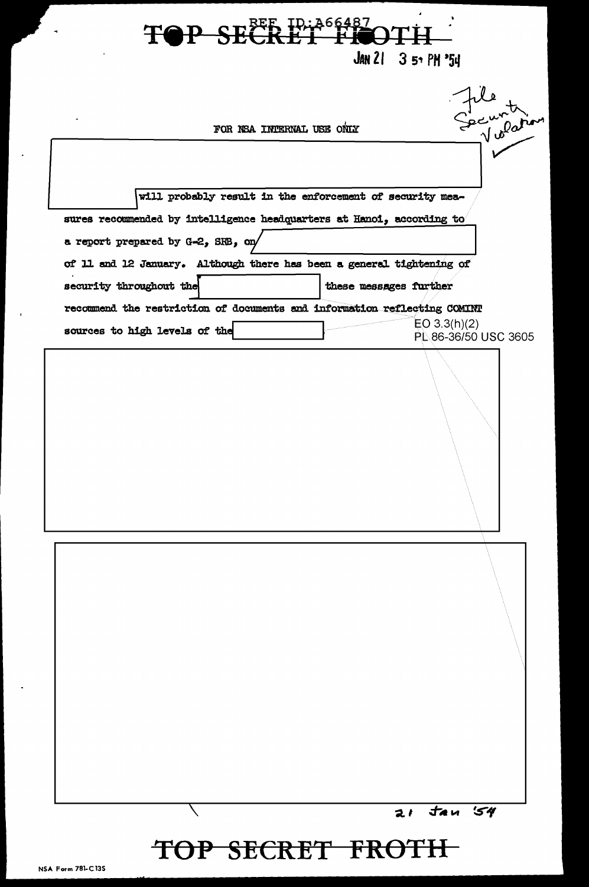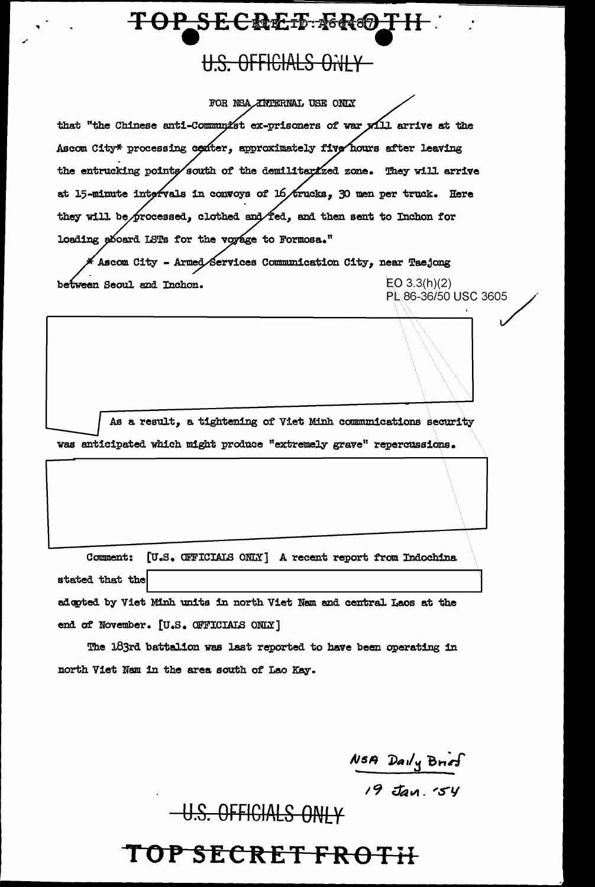#### U.S. OFFICIALS ONLY

FOR NSA ZIVIERNAL USE ONLY that "the Chinese anti-Communist ex-prisoners of war yill arrive at the Ascom City\* processing center, approximately five hours after leaving the entrucking points south of the demilitarized zone. They will arrive at 15-minute intervals in convoys of 16/trucks, 30 men per truck. Here they will be processed, clothed and fed, and then sent to Inchon for loading aboard LSTs for the voyage to Formosa." Ascom City - Armed Services Communication City, near Taejong  $EO$  3.3(h)(2) between Seoul and Inchon.

As a result, a tightening of Viet Minh communications security was anticipated which might produce "extremely grave" repercussions.

Comment: [U.S. OFFICIALS ONLY] A recent report from Indochina stated that the adopted by Viet Minh units in north Viet Nam and central Laos at the end of November. [U.S. OFFICIALS ONLY]

The 183rd battalion was last reported to have been operating in north Viet Nam in the area south of Lao Kay.

NSA Daily Brief<br>19 Jan. 54

PL 86-36/50 USC 3605

U.S. OFFICIALS ONI Y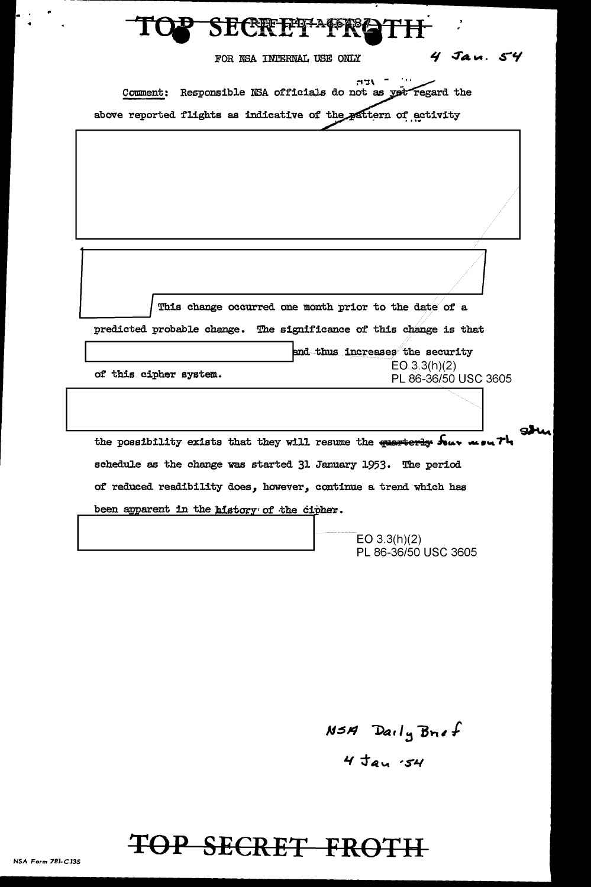| CER FETTA CO                                                                                                                      |                            |
|-----------------------------------------------------------------------------------------------------------------------------------|----------------------------|
| FOR NSA INTERNAL USE ONLY                                                                                                         | $4$ $\sqrt{2}$ $\sim$ $54$ |
| Responsible NSA officials do not as yet regard the<br>Comment:<br>above reported flights as indicative of the pattern of activity |                            |
|                                                                                                                                   |                            |

This change occurred one month prior to the date of a predicted probable change. The significance of this change is that and thus increases the security  $EO.3.3(h)(2)$ of this cipher system. PL 86-36/50 USC 3605 ghi u pu Th the possibility exists that they will resume the quarterly Souv schedule as the change was started 31 January 1953. The period of reduced readibility does, however, continue a trend which has been apparent in the history of the cipher.

> EO  $3.3(h)(2)$ PL 86-36/50 USC 3605

NSA Daily Brief  $4$   $\tan$   $54$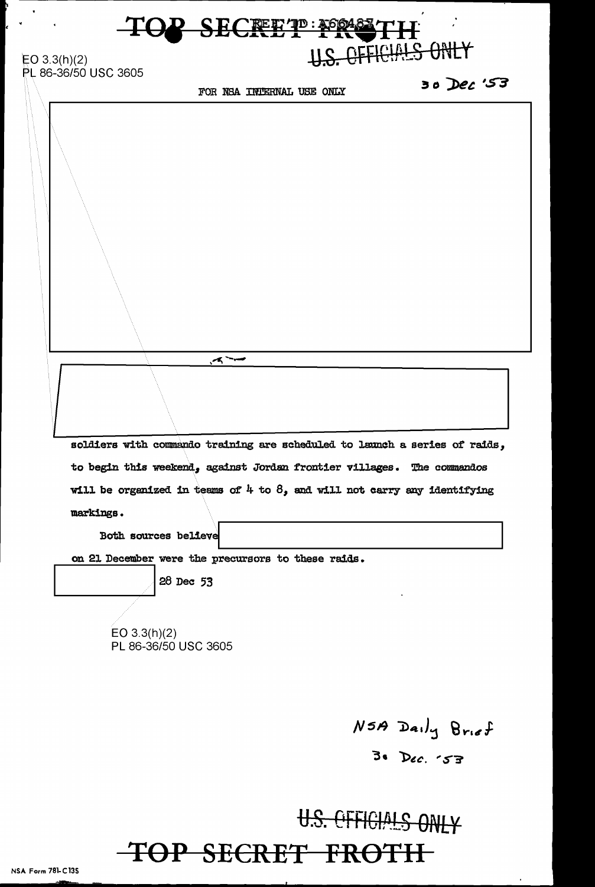### **P-SECRET .... 200483 TH** U.S. OFFICIALS ONLY

 $EO 3.3(h)(2)$ PL 86-36/50 USC 3605

FOR NSA INJERNAL USE ONLY

*5"3* 

 $\blacktriangleleft$ soldiers with commando training are scheduled to launch a series of raids, to begin this weekend, against Jordan frontier villages. The commandos will be organized in teams of  $4$  to  $8$ , and will not carry any identifying markings. Both sources believe on 21 December were the precursors to these raids. \_\_\_\_\_\_\_ I 28 Dec 53 EO 3.3(h)(2) PL 86-36/50 USC 3605

 $N5A$  Daily Brief

°3• *'l>ec.* 'S'~

U.S. CFFICIALS ONLY-TOP SECRET FROTH

NSA Form 781-Cl3S